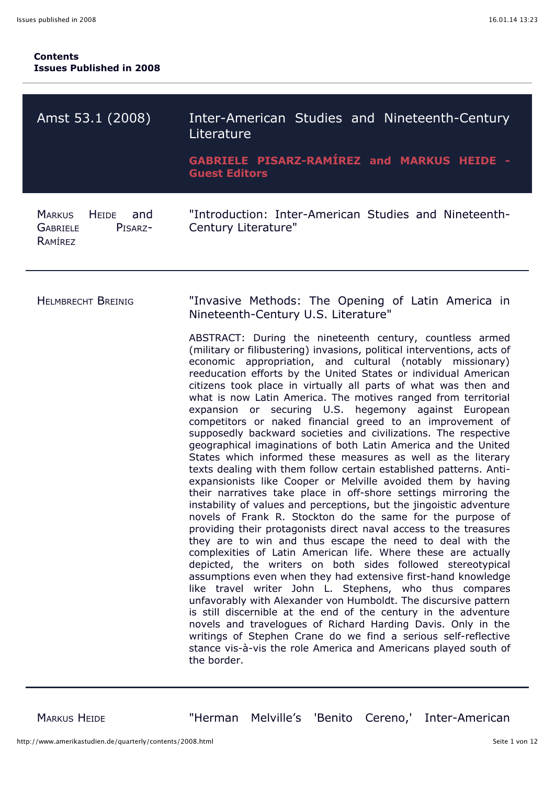| Amst 53.1 (2008)                                                           | Inter-American Studies and Nineteenth-Century<br>Literature<br><b>GABRIELE PISARZ-RAMÍREZ and MARKUS HEIDE -</b><br><b>Guest Editors</b>                                                                                                                                                                                                                                                                                                                                                                                                                                                                                                                                                                                                                                                                                                                                                                                                                                                                                                                                                                                                                                                                                                                                                                                                                                                                                                                                                                                                                                                                                                                                                                                                                                                                                                                                                                                            |
|----------------------------------------------------------------------------|-------------------------------------------------------------------------------------------------------------------------------------------------------------------------------------------------------------------------------------------------------------------------------------------------------------------------------------------------------------------------------------------------------------------------------------------------------------------------------------------------------------------------------------------------------------------------------------------------------------------------------------------------------------------------------------------------------------------------------------------------------------------------------------------------------------------------------------------------------------------------------------------------------------------------------------------------------------------------------------------------------------------------------------------------------------------------------------------------------------------------------------------------------------------------------------------------------------------------------------------------------------------------------------------------------------------------------------------------------------------------------------------------------------------------------------------------------------------------------------------------------------------------------------------------------------------------------------------------------------------------------------------------------------------------------------------------------------------------------------------------------------------------------------------------------------------------------------------------------------------------------------------------------------------------------------|
| <b>MARKUS</b><br>HEIDE and<br><b>GABRIELE</b><br>PISARZ-<br><b>RAMÍREZ</b> | "Introduction: Inter-American Studies and Nineteenth-<br>Century Literature"                                                                                                                                                                                                                                                                                                                                                                                                                                                                                                                                                                                                                                                                                                                                                                                                                                                                                                                                                                                                                                                                                                                                                                                                                                                                                                                                                                                                                                                                                                                                                                                                                                                                                                                                                                                                                                                        |
| <b>HELMBRECHT BREINIG</b>                                                  | "Invasive Methods: The Opening of Latin America in<br>Nineteenth-Century U.S. Literature"<br>ABSTRACT: During the nineteenth century, countless armed<br>(military or filibustering) invasions, political interventions, acts of<br>economic appropriation, and cultural (notably missionary)<br>reeducation efforts by the United States or individual American<br>citizens took place in virtually all parts of what was then and<br>what is now Latin America. The motives ranged from territorial<br>expansion or securing U.S. hegemony against European<br>competitors or naked financial greed to an improvement of<br>supposedly backward societies and civilizations. The respective<br>geographical imaginations of both Latin America and the United<br>States which informed these measures as well as the literary<br>texts dealing with them follow certain established patterns. Anti-<br>expansionists like Cooper or Melville avoided them by having<br>their narratives take place in off-shore settings mirroring the<br>instability of values and perceptions, but the jingoistic adventure<br>novels of Frank R. Stockton do the same for the purpose of<br>providing their protagonists direct naval access to the treasures<br>they are to win and thus escape the need to deal with the<br>complexities of Latin American life. Where these are actually<br>depicted, the writers on both sides followed stereotypical<br>assumptions even when they had extensive first-hand knowledge<br>like travel writer John L. Stephens, who thus compares<br>unfavorably with Alexander von Humboldt. The discursive pattern<br>is still discernible at the end of the century in the adventure<br>novels and travelogues of Richard Harding Davis. Only in the<br>writings of Stephen Crane do we find a serious self-reflective<br>stance vis-à-vis the role America and Americans played south of<br>the border. |

MARKUS HEIDE "Herman Melville's 'Benito Cereno,' Inter-American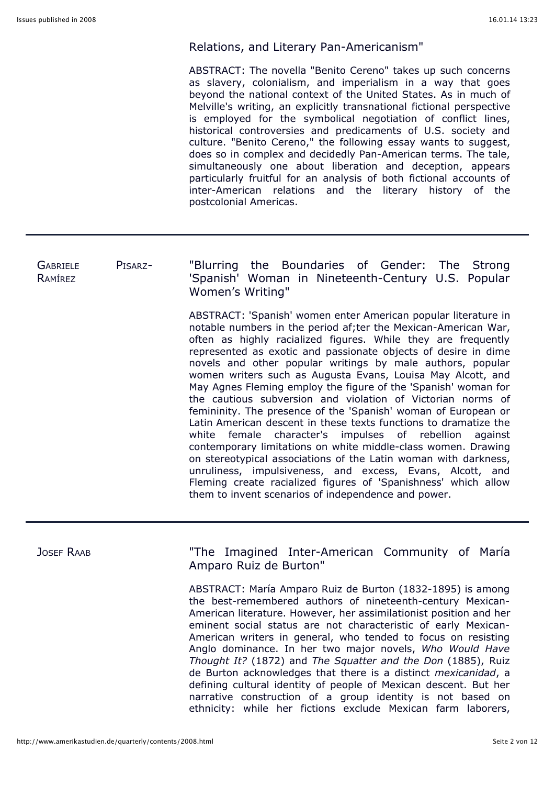### Relations, and Literary Pan-Americanism"

ABSTRACT: The novella "Benito Cereno" takes up such concerns as slavery, colonialism, and imperialism in a way that goes beyond the national context of the United States. As in much of Melville's writing, an explicitly transnational fictional perspective is employed for the symbolical negotiation of conflict lines, historical controversies and predicaments of U.S. society and culture. "Benito Cereno," the following essay wants to suggest, does so in complex and decidedly Pan-American terms. The tale, simultaneously one about liberation and deception, appears particularly fruitful for an analysis of both fictional accounts of inter-American relations and the literary history of the postcolonial Americas.

### GABRIELE PISARZ-RAMÍREZ "Blurring the Boundaries of Gender: The Strong 'Spanish' Woman in Nineteenth-Century U.S. Popular Women's Writing"

ABSTRACT: 'Spanish' women enter American popular literature in notable numbers in the period af;ter the Mexican-American War, often as highly racialized figures. While they are frequently represented as exotic and passionate objects of desire in dime novels and other popular writings by male authors, popular women writers such as Augusta Evans, Louisa May Alcott, and May Agnes Fleming employ the figure of the 'Spanish' woman for the cautious subversion and violation of Victorian norms of femininity. The presence of the 'Spanish' woman of European or Latin American descent in these texts functions to dramatize the white female character's impulses of rebellion against contemporary limitations on white middle-class women. Drawing on stereotypical associations of the Latin woman with darkness, unruliness, impulsiveness, and excess, Evans, Alcott, and Fleming create racialized figures of 'Spanishness' which allow them to invent scenarios of independence and power.

JOSEF RAAB "The Imagined Inter-American Community of María Amparo Ruiz de Burton"

> ABSTRACT: María Amparo Ruiz de Burton (1832-1895) is among the best-remembered authors of nineteenth-century Mexican-American literature. However, her assimilationist position and her eminent social status are not characteristic of early Mexican-American writers in general, who tended to focus on resisting Anglo dominance. In her two major novels, *Who Would Have Thought It?* (1872) and *The Squatter and the Don* (1885), Ruiz de Burton acknowledges that there is a distinct *mexicanidad*, a defining cultural identity of people of Mexican descent. But her narrative construction of a group identity is not based on ethnicity: while her fictions exclude Mexican farm laborers,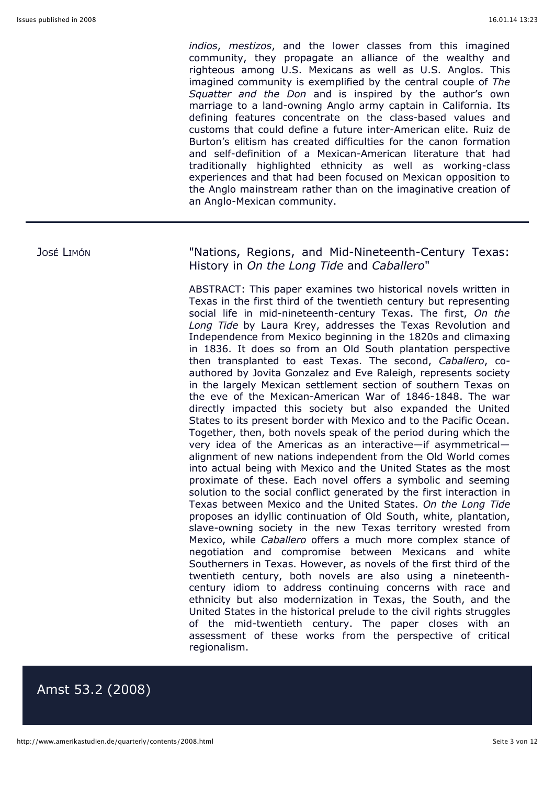*indios*, *mestizos*, and the lower classes from this imagined community, they propagate an alliance of the wealthy and righteous among U.S. Mexicans as well as U.S. Anglos. This imagined community is exemplified by the central couple of *The Squatter and the Don* and is inspired by the author's own marriage to a land-owning Anglo army captain in California. Its defining features concentrate on the class-based values and customs that could define a future inter-American elite. Ruiz de Burton's elitism has created difficulties for the canon formation and self-definition of a Mexican-American literature that had traditionally highlighted ethnicity as well as working-class experiences and that had been focused on Mexican opposition to the Anglo mainstream rather than on the imaginative creation of an Anglo-Mexican community.

José LIMÓN **1988** Thations, Regions, and Mid-Nineteenth-Century Texas: History in *On the Long Tide* and *Caballero*"

> ABSTRACT: This paper examines two historical novels written in Texas in the first third of the twentieth century but representing social life in mid-nineteenth-century Texas. The first, *On the Long Tide* by Laura Krey, addresses the Texas Revolution and Independence from Mexico beginning in the 1820s and climaxing in 1836. It does so from an Old South plantation perspective then transplanted to east Texas. The second, *Caballero*, coauthored by Jovita Gonzalez and Eve Raleigh, represents society in the largely Mexican settlement section of southern Texas on the eve of the Mexican-American War of 1846-1848. The war directly impacted this society but also expanded the United States to its present border with Mexico and to the Pacific Ocean. Together, then, both novels speak of the period during which the very idea of the Americas as an interactive—if asymmetrical alignment of new nations independent from the Old World comes into actual being with Mexico and the United States as the most proximate of these. Each novel offers a symbolic and seeming solution to the social conflict generated by the first interaction in Texas between Mexico and the United States. *On the Long Tide* proposes an idyllic continuation of Old South, white, plantation, slave-owning society in the new Texas territory wrested from Mexico, while *Caballero* offers a much more complex stance of negotiation and compromise between Mexicans and white Southerners in Texas. However, as novels of the first third of the twentieth century, both novels are also using a nineteenthcentury idiom to address continuing concerns with race and ethnicity but also modernization in Texas, the South, and the United States in the historical prelude to the civil rights struggles of the mid-twentieth century. The paper closes with an assessment of these works from the perspective of critical regionalism.

## Amst 53.2 (2008)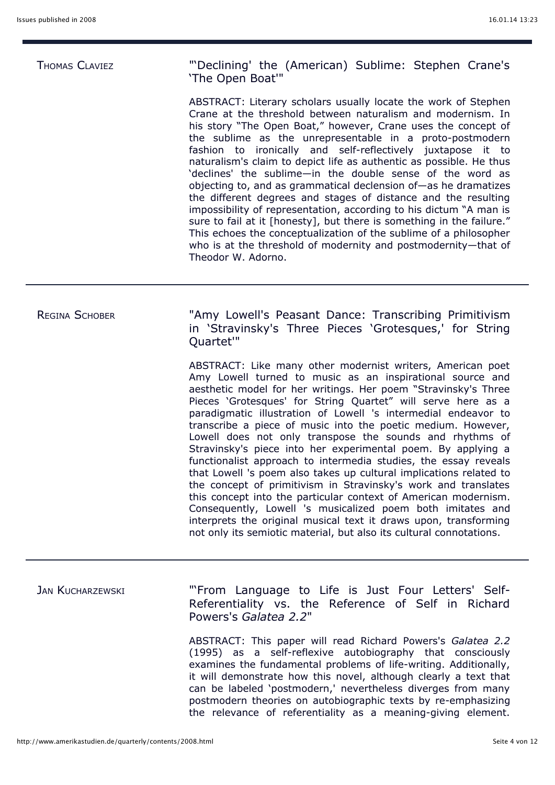THOMAS CLAVIEZ "'Declining' the (American) Sublime: Stephen Crane's 'The Open Boat'"

> ABSTRACT: Literary scholars usually locate the work of Stephen Crane at the threshold between naturalism and modernism. In his story "The Open Boat," however, Crane uses the concept of the sublime as the unrepresentable in a proto-postmodern fashion to ironically and self-reflectively juxtapose it to naturalism's claim to depict life as authentic as possible. He thus 'declines' the sublime—in the double sense of the word as objecting to, and as grammatical declension of—as he dramatizes the different degrees and stages of distance and the resulting impossibility of representation, according to his dictum "A man is sure to fail at it [honesty], but there is something in the failure." This echoes the conceptualization of the sublime of a philosopher who is at the threshold of modernity and postmodernity—that of Theodor W. Adorno.

REGINA SCHOBER "Amy Lowell's Peasant Dance: Transcribing Primitivism in 'Stravinsky's Three Pieces 'Grotesques,' for String Quartet'"

> ABSTRACT: Like many other modernist writers, American poet Amy Lowell turned to music as an inspirational source and aesthetic model for her writings. Her poem "Stravinsky's Three Pieces 'Grotesques' for String Quartet" will serve here as a paradigmatic illustration of Lowell 's intermedial endeavor to transcribe a piece of music into the poetic medium. However, Lowell does not only transpose the sounds and rhythms of Stravinsky's piece into her experimental poem. By applying a functionalist approach to intermedia studies, the essay reveals that Lowell 's poem also takes up cultural implications related to the concept of primitivism in Stravinsky's work and translates this concept into the particular context of American modernism. Consequently, Lowell 's musicalized poem both imitates and interprets the original musical text it draws upon, transforming not only its semiotic material, but also its cultural connotations.

JAN KUCHARZEWSKI "'From Language to Life is Just Four Letters' Self-Referentiality vs. the Reference of Self in Richard Powers's *Galatea 2.2*"

> ABSTRACT: This paper will read Richard Powers's *Galatea 2.2* (1995) as a self-reflexive autobiography that consciously examines the fundamental problems of life-writing. Additionally, it will demonstrate how this novel, although clearly a text that can be labeled 'postmodern,' nevertheless diverges from many postmodern theories on autobiographic texts by re-emphasizing the relevance of referentiality as a meaning-giving element.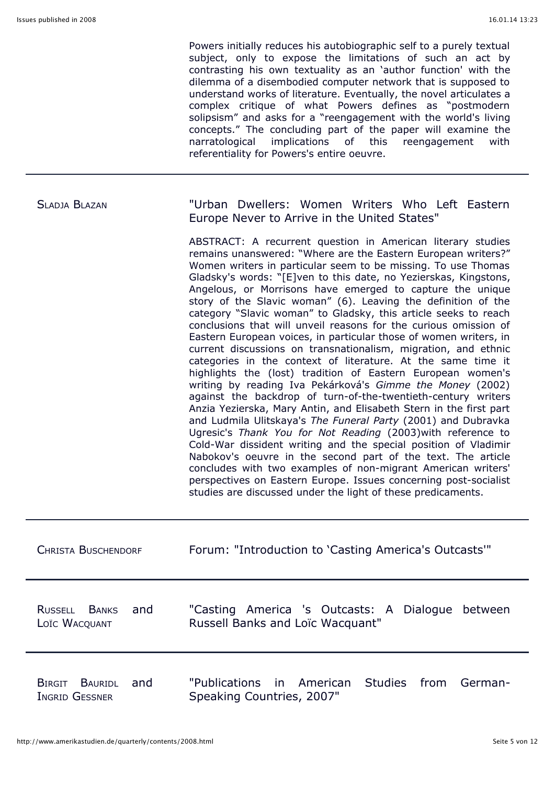Powers initially reduces his autobiographic self to a purely textual subject, only to expose the limitations of such an act by contrasting his own textuality as an 'author function' with the dilemma of a disembodied computer network that is supposed to understand works of literature. Eventually, the novel articulates a complex critique of what Powers defines as "postmodern solipsism" and asks for a "reengagement with the world's living concepts." The concluding part of the paper will examine the narratological implications of this reengagement with referentiality for Powers's entire oeuvre.

| <b>SLADJA BLAZAN</b>                           | "Urban Dwellers: Women Writers Who Left Eastern<br>Europe Never to Arrive in the United States"                                                                                                                                                                                                                                                                                                                                                                                                                                                                                                                                                                                                                                                                                                                                                                                                                                                                                                                                                                                                                                                                                                                                                                                                                                                                                                                                                                                          |
|------------------------------------------------|------------------------------------------------------------------------------------------------------------------------------------------------------------------------------------------------------------------------------------------------------------------------------------------------------------------------------------------------------------------------------------------------------------------------------------------------------------------------------------------------------------------------------------------------------------------------------------------------------------------------------------------------------------------------------------------------------------------------------------------------------------------------------------------------------------------------------------------------------------------------------------------------------------------------------------------------------------------------------------------------------------------------------------------------------------------------------------------------------------------------------------------------------------------------------------------------------------------------------------------------------------------------------------------------------------------------------------------------------------------------------------------------------------------------------------------------------------------------------------------|
|                                                | ABSTRACT: A recurrent question in American literary studies<br>remains unanswered: "Where are the Eastern European writers?"<br>Women writers in particular seem to be missing. To use Thomas<br>Gladsky's words: "[E]ven to this date, no Yezierskas, Kingstons,<br>Angelous, or Morrisons have emerged to capture the unique<br>story of the Slavic woman" (6). Leaving the definition of the<br>category "Slavic woman" to Gladsky, this article seeks to reach<br>conclusions that will unveil reasons for the curious omission of<br>Eastern European voices, in particular those of women writers, in<br>current discussions on transnationalism, migration, and ethnic<br>categories in the context of literature. At the same time it<br>highlights the (lost) tradition of Eastern European women's<br>writing by reading Iva Pekárková's Gimme the Money (2002)<br>against the backdrop of turn-of-the-twentieth-century writers<br>Anzia Yezierska, Mary Antin, and Elisabeth Stern in the first part<br>and Ludmila Ulitskaya's The Funeral Party (2001) and Dubravka<br>Ugresic's Thank You for Not Reading (2003) with reference to<br>Cold-War dissident writing and the special position of Vladimir<br>Nabokov's oeuvre in the second part of the text. The article<br>concludes with two examples of non-migrant American writers'<br>perspectives on Eastern Europe. Issues concerning post-socialist<br>studies are discussed under the light of these predicaments. |
| <b>CHRISTA BUSCHENDORF</b>                     | Forum: "Introduction to 'Casting America's Outcasts'"                                                                                                                                                                                                                                                                                                                                                                                                                                                                                                                                                                                                                                                                                                                                                                                                                                                                                                                                                                                                                                                                                                                                                                                                                                                                                                                                                                                                                                    |
| RUSSELL BANKS and<br>LOÏC WACQUANT             | "Casting America 's Outcasts: A Dialogue between<br>Russell Banks and Loïc Wacquant"                                                                                                                                                                                                                                                                                                                                                                                                                                                                                                                                                                                                                                                                                                                                                                                                                                                                                                                                                                                                                                                                                                                                                                                                                                                                                                                                                                                                     |
| BIRGIT BAURIDL<br>and<br><b>INGRID GESSNER</b> | "Publications<br><b>Studies</b><br>in.<br>American<br>from<br>German-<br>Speaking Countries, 2007"                                                                                                                                                                                                                                                                                                                                                                                                                                                                                                                                                                                                                                                                                                                                                                                                                                                                                                                                                                                                                                                                                                                                                                                                                                                                                                                                                                                       |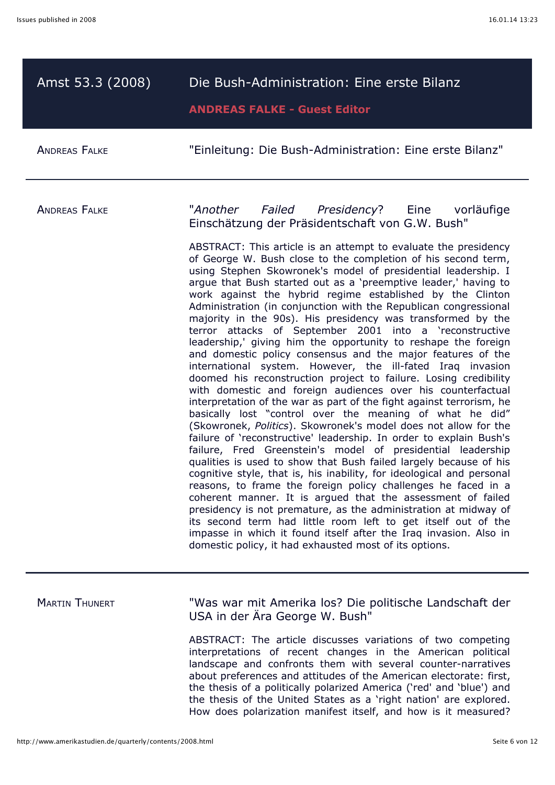| Amst 53.3 (2008)      | Die Bush-Administration: Eine erste Bilanz<br><b>ANDREAS FALKE - Guest Editor</b>                                                                                                                                                                                                                                                                                                                                                                                                                                                                                                                                                                                                                                                                                                                                                                                                                                                                                                                                                                                                                                                                                                                                                                                                                                                                                                                                                                                                                                                                                                                                                                                                                                                                                                                                                                                   |
|-----------------------|---------------------------------------------------------------------------------------------------------------------------------------------------------------------------------------------------------------------------------------------------------------------------------------------------------------------------------------------------------------------------------------------------------------------------------------------------------------------------------------------------------------------------------------------------------------------------------------------------------------------------------------------------------------------------------------------------------------------------------------------------------------------------------------------------------------------------------------------------------------------------------------------------------------------------------------------------------------------------------------------------------------------------------------------------------------------------------------------------------------------------------------------------------------------------------------------------------------------------------------------------------------------------------------------------------------------------------------------------------------------------------------------------------------------------------------------------------------------------------------------------------------------------------------------------------------------------------------------------------------------------------------------------------------------------------------------------------------------------------------------------------------------------------------------------------------------------------------------------------------------|
| <b>ANDREAS FALKE</b>  | "Einleitung: Die Bush-Administration: Eine erste Bilanz"                                                                                                                                                                                                                                                                                                                                                                                                                                                                                                                                                                                                                                                                                                                                                                                                                                                                                                                                                                                                                                                                                                                                                                                                                                                                                                                                                                                                                                                                                                                                                                                                                                                                                                                                                                                                            |
| <b>ANDREAS FALKE</b>  | "Another Failed Presidency? Eine<br>vorläufige<br>Einschätzung der Präsidentschaft von G.W. Bush"<br>ABSTRACT: This article is an attempt to evaluate the presidency<br>of George W. Bush close to the completion of his second term,<br>using Stephen Skowronek's model of presidential leadership. I<br>argue that Bush started out as a 'preemptive leader,' having to<br>work against the hybrid regime established by the Clinton<br>Administration (in conjunction with the Republican congressional<br>majority in the 90s). His presidency was transformed by the<br>terror attacks of September 2001 into a 'reconstructive<br>leadership,' giving him the opportunity to reshape the foreign<br>and domestic policy consensus and the major features of the<br>international system. However, the ill-fated Iraq invasion<br>doomed his reconstruction project to failure. Losing credibility<br>with domestic and foreign audiences over his counterfactual<br>interpretation of the war as part of the fight against terrorism, he<br>basically lost "control over the meaning of what he did"<br>(Skowronek, Politics). Skowronek's model does not allow for the<br>failure of 'reconstructive' leadership. In order to explain Bush's<br>failure, Fred Greenstein's model of presidential leadership<br>qualities is used to show that Bush failed largely because of his<br>cognitive style, that is, his inability, for ideological and personal<br>reasons, to frame the foreign policy challenges he faced in a<br>coherent manner. It is argued that the assessment of failed<br>presidency is not premature, as the administration at midway of<br>its second term had little room left to get itself out of the<br>impasse in which it found itself after the Iraq invasion. Also in<br>domestic policy, it had exhausted most of its options. |
| <b>MARTIN THUNERT</b> | "Was war mit Amerika los? Die politische Landschaft der                                                                                                                                                                                                                                                                                                                                                                                                                                                                                                                                                                                                                                                                                                                                                                                                                                                                                                                                                                                                                                                                                                                                                                                                                                                                                                                                                                                                                                                                                                                                                                                                                                                                                                                                                                                                             |

USA in der Ära George W. Bush"

ABSTRACT: The article discusses variations of two competing interpretations of recent changes in the American political landscape and confronts them with several counter-narratives about preferences and attitudes of the American electorate: first, the thesis of a politically polarized America ('red' and 'blue') and the thesis of the United States as a 'right nation' are explored. How does polarization manifest itself, and how is it measured?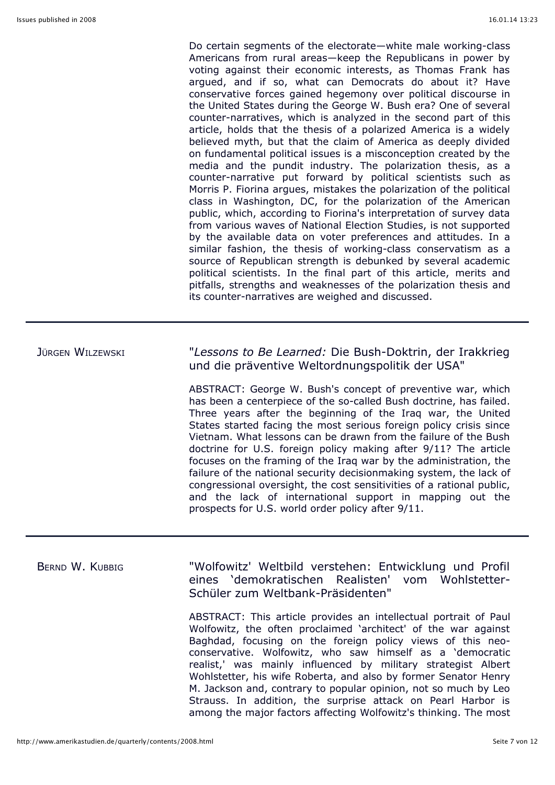Do certain segments of the electorate—white male working-class Americans from rural areas—keep the Republicans in power by voting against their economic interests, as Thomas Frank has argued, and if so, what can Democrats do about it? Have conservative forces gained hegemony over political discourse in the United States during the George W. Bush era? One of several counter-narratives, which is analyzed in the second part of this article, holds that the thesis of a polarized America is a widely believed myth, but that the claim of America as deeply divided on fundamental political issues is a misconception created by the media and the pundit industry. The polarization thesis, as a counter-narrative put forward by political scientists such as Morris P. Fiorina argues, mistakes the polarization of the political class in Washington, DC, for the polarization of the American public, which, according to Fiorina's interpretation of survey data from various waves of National Election Studies, is not supported by the available data on voter preferences and attitudes. In a similar fashion, the thesis of working-class conservatism as a source of Republican strength is debunked by several academic political scientists. In the final part of this article, merits and pitfalls, strengths and weaknesses of the polarization thesis and its counter-narratives are weighed and discussed.

JÜRGEN WILZEWSKI "*Lessons to Be Learned:* Die Bush-Doktrin, der Irakkrieg und die präventive Weltordnungspolitik der USA"

> ABSTRACT: George W. Bush's concept of preventive war, which has been a centerpiece of the so-called Bush doctrine, has failed. Three years after the beginning of the Iraq war, the United States started facing the most serious foreign policy crisis since Vietnam. What lessons can be drawn from the failure of the Bush doctrine for U.S. foreign policy making after 9/11? The article focuses on the framing of the Iraq war by the administration, the failure of the national security decisionmaking system, the lack of congressional oversight, the cost sensitivities of a rational public, and the lack of international support in mapping out the prospects for U.S. world order policy after 9/11.

BERND W. KUBBIG "Wolfowitz' Weltbild verstehen: Entwicklung und Profil eines 'demokratischen Realisten' vom Wohlstetter-Schüler zum Weltbank-Präsidenten" ABSTRACT: This article provides an intellectual portrait of Paul Wolfowitz, the often proclaimed 'architect' of the war against Baghdad, focusing on the foreign policy views of this neoconservative. Wolfowitz, who saw himself as a 'democratic realist,' was mainly influenced by military strategist Albert

Wohlstetter, his wife Roberta, and also by former Senator Henry M. Jackson and, contrary to popular opinion, not so much by Leo Strauss. In addition, the surprise attack on Pearl Harbor is among the major factors affecting Wolfowitz's thinking. The most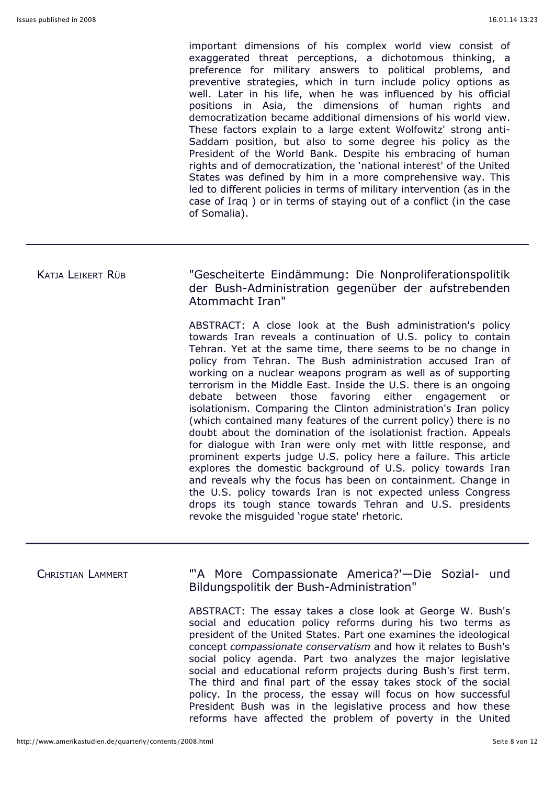important dimensions of his complex world view consist of exaggerated threat perceptions, a dichotomous thinking, a preference for military answers to political problems, and preventive strategies, which in turn include policy options as well. Later in his life, when he was influenced by his official positions in Asia, the dimensions of human rights and democratization became additional dimensions of his world view. These factors explain to a large extent Wolfowitz' strong anti-Saddam position, but also to some degree his policy as the President of the World Bank. Despite his embracing of human rights and of democratization, the 'national interest' of the United States was defined by him in a more comprehensive way. This led to different policies in terms of military intervention (as in the case of Iraq ) or in terms of staying out of a conflict (in the case of Somalia).

## KATJA LEIKERT RÜB "Gescheiterte Eindämmung: Die Nonproliferationspolitik der Bush-Administration gegenüber der aufstrebenden Atommacht Iran"

ABSTRACT: A close look at the Bush administration's policy towards Iran reveals a continuation of U.S. policy to contain Tehran. Yet at the same time, there seems to be no change in policy from Tehran. The Bush administration accused Iran of working on a nuclear weapons program as well as of supporting terrorism in the Middle East. Inside the U.S. there is an ongoing debate between those favoring either engagement or isolationism. Comparing the Clinton administration's Iran policy (which contained many features of the current policy) there is no doubt about the domination of the isolationist fraction. Appeals for dialogue with Iran were only met with little response, and prominent experts judge U.S. policy here a failure. This article explores the domestic background of U.S. policy towards Iran and reveals why the focus has been on containment. Change in the U.S. policy towards Iran is not expected unless Congress drops its tough stance towards Tehran and U.S. presidents revoke the misguided 'rogue state' rhetoric.

# CHRISTIAN LAMMERT "'A More Compassionate America?'—Die Sozial- und Bildungspolitik der Bush-Administration" ABSTRACT: The essay takes a close look at George W. Bush's social and education policy reforms during his two terms as president of the United States. Part one examines the ideological concept *compassionate conservatism* and how it relates to Bush's

social policy agenda. Part two analyzes the major legislative social and educational reform projects during Bush's first term. The third and final part of the essay takes stock of the social policy. In the process, the essay will focus on how successful President Bush was in the legislative process and how these reforms have affected the problem of poverty in the United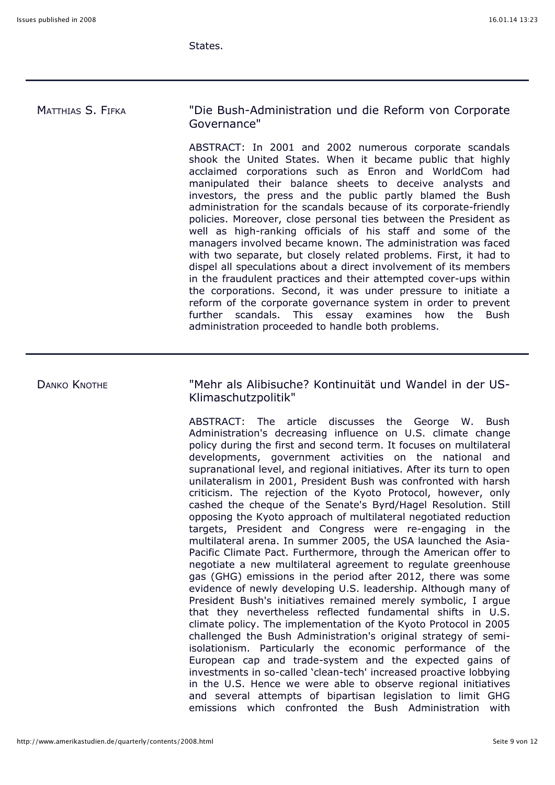States.

MATTHIAS S. FIFKA "Die Bush-Administration und die Reform von Corporate Governance" ABSTRACT: In 2001 and 2002 numerous corporate scandals

shook the United States. When it became public that highly acclaimed corporations such as Enron and WorldCom had manipulated their balance sheets to deceive analysts and investors, the press and the public partly blamed the Bush administration for the scandals because of its corporate-friendly policies. Moreover, close personal ties between the President as well as high-ranking officials of his staff and some of the managers involved became known. The administration was faced with two separate, but closely related problems. First, it had to dispel all speculations about a direct involvement of its members in the fraudulent practices and their attempted cover-ups within the corporations. Second, it was under pressure to initiate a reform of the corporate governance system in order to prevent further scandals. This essay examines how the Bush administration proceeded to handle both problems.

DANKO KNOTHE "Mehr als Alibisuche? Kontinuität und Wandel in der US-Klimaschutzpolitik"

> ABSTRACT: The article discusses the George W. Bush Administration's decreasing influence on U.S. climate change policy during the first and second term. It focuses on multilateral developments, government activities on the national and supranational level, and regional initiatives. After its turn to open unilateralism in 2001, President Bush was confronted with harsh criticism. The rejection of the Kyoto Protocol, however, only cashed the cheque of the Senate's Byrd/Hagel Resolution. Still opposing the Kyoto approach of multilateral negotiated reduction targets, President and Congress were re-engaging in the multilateral arena. In summer 2005, the USA launched the Asia-Pacific Climate Pact. Furthermore, through the American offer to negotiate a new multilateral agreement to regulate greenhouse gas (GHG) emissions in the period after 2012, there was some evidence of newly developing U.S. leadership. Although many of President Bush's initiatives remained merely symbolic, I argue that they nevertheless reflected fundamental shifts in U.S. climate policy. The implementation of the Kyoto Protocol in 2005 challenged the Bush Administration's original strategy of semiisolationism. Particularly the economic performance of the European cap and trade-system and the expected gains of investments in so-called 'clean-tech' increased proactive lobbying in the U.S. Hence we were able to observe regional initiatives and several attempts of bipartisan legislation to limit GHG emissions which confronted the Bush Administration with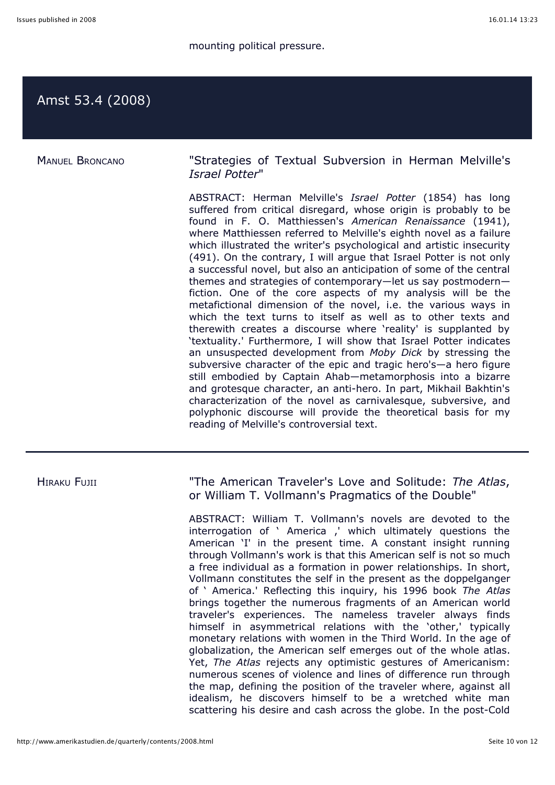# Amst 53.4 (2008)

MANUEL BRONCANO "Strategies of Textual Subversion in Herman Melville's *Israel Potter*"

> ABSTRACT: Herman Melville's *Israel Potter* (1854) has long suffered from critical disregard, whose origin is probably to be found in F. O. Matthiessen's *American Renaissance* (1941), where Matthiessen referred to Melville's eighth novel as a failure which illustrated the writer's psychological and artistic insecurity (491). On the contrary, I will argue that Israel Potter is not only a successful novel, but also an anticipation of some of the central themes and strategies of contemporary—let us say postmodern fiction. One of the core aspects of my analysis will be the metafictional dimension of the novel, i.e. the various ways in which the text turns to itself as well as to other texts and therewith creates a discourse where 'reality' is supplanted by 'textuality.' Furthermore, I will show that Israel Potter indicates an unsuspected development from *Moby Dick* by stressing the subversive character of the epic and tragic hero's—a hero figure still embodied by Captain Ahab—metamorphosis into a bizarre and grotesque character, an anti-hero. In part, Mikhail Bakhtin's characterization of the novel as carnivalesque, subversive, and polyphonic discourse will provide the theoretical basis for my reading of Melville's controversial text.

HIRAKU FUJII "The American Traveler's Love and Solitude: *The Atlas*, or William T. Vollmann's Pragmatics of the Double"

> ABSTRACT: William T. Vollmann's novels are devoted to the interrogation of ' America ,' which ultimately questions the American 'I' in the present time. A constant insight running through Vollmann's work is that this American self is not so much a free individual as a formation in power relationships. In short, Vollmann constitutes the self in the present as the doppelganger of ' America.' Reflecting this inquiry, his 1996 book *The Atlas* brings together the numerous fragments of an American world traveler's experiences. The nameless traveler always finds himself in asymmetrical relations with the 'other,' typically monetary relations with women in the Third World. In the age of globalization, the American self emerges out of the whole atlas. Yet, *The Atlas* rejects any optimistic gestures of Americanism: numerous scenes of violence and lines of difference run through the map, defining the position of the traveler where, against all idealism, he discovers himself to be a wretched white man scattering his desire and cash across the globe. In the post-Cold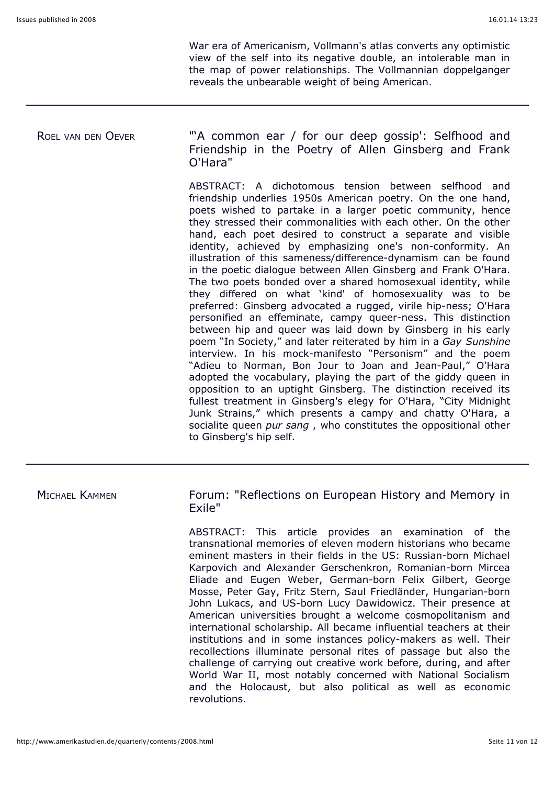War era of Americanism, Vollmann's atlas converts any optimistic view of the self into its negative double, an intolerable man in the map of power relationships. The Vollmannian doppelganger reveals the unbearable weight of being American.

### ROEL VAN DEN OEVER "A common ear / for our deep gossip': Selfhood and Friendship in the Poetry of Allen Ginsberg and Frank O'Hara"

ABSTRACT: A dichotomous tension between selfhood and friendship underlies 1950s American poetry. On the one hand, poets wished to partake in a larger poetic community, hence they stressed their commonalities with each other. On the other hand, each poet desired to construct a separate and visible identity, achieved by emphasizing one's non-conformity. An illustration of this sameness/difference-dynamism can be found in the poetic dialogue between Allen Ginsberg and Frank O'Hara. The two poets bonded over a shared homosexual identity, while they differed on what 'kind' of homosexuality was to be preferred: Ginsberg advocated a rugged, virile hip-ness; O'Hara personified an effeminate, campy queer-ness. This distinction between hip and queer was laid down by Ginsberg in his early poem "In Society," and later reiterated by him in a *Gay Sunshine* interview. In his mock-manifesto "Personism" and the poem "Adieu to Norman, Bon Jour to Joan and Jean-Paul," O'Hara adopted the vocabulary, playing the part of the giddy queen in opposition to an uptight Ginsberg. The distinction received its fullest treatment in Ginsberg's elegy for O'Hara, "City Midnight Junk Strains," which presents a campy and chatty O'Hara, a socialite queen *pur sang* , who constitutes the oppositional other to Ginsberg's hip self.

MICHAEL KAMMEN **Forum: "Reflections on European History and Memory in** Exile"

> ABSTRACT: This article provides an examination of the transnational memories of eleven modern historians who became eminent masters in their fields in the US: Russian-born Michael Karpovich and Alexander Gerschenkron, Romanian-born Mircea Eliade and Eugen Weber, German-born Felix Gilbert, George Mosse, Peter Gay, Fritz Stern, Saul Friedländer, Hungarian-born John Lukacs, and US-born Lucy Dawidowicz. Their presence at American universities brought a welcome cosmopolitanism and international scholarship. All became influential teachers at their institutions and in some instances policy-makers as well. Their recollections illuminate personal rites of passage but also the challenge of carrying out creative work before, during, and after World War II, most notably concerned with National Socialism and the Holocaust, but also political as well as economic revolutions.